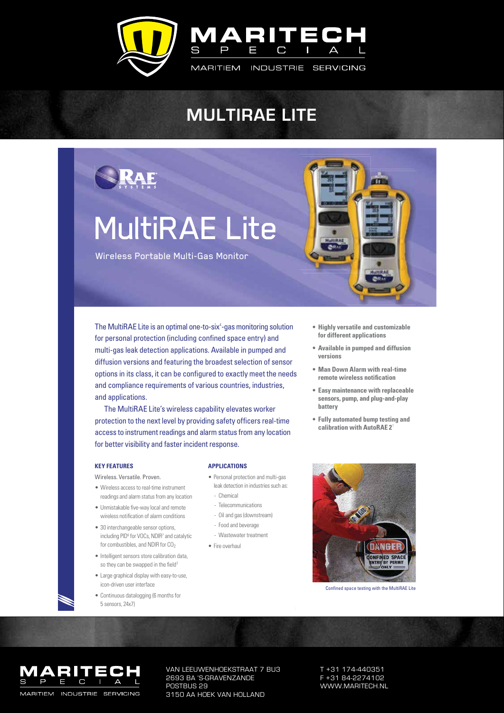

## **SOLAS IMMERSION SUIT** SOLAS IMMEDIATION SUITE **FOR OFF-SHORE SUPPLY VESSELS, BULLTIRAE LITE**

cOMMERcIAL FERRIES, cONTAINER ANd FREIghT ShIpS IN cOLd wATERS



## 1MC6 **MultiRAE Lite**

Wireless Portable Multi-Gas Monitor



**t Highly versatile and customizable for different applications t Available in pumped and diffusion** 

**t Man Down Alarm with real-time remote wireless notification t Easy maintenance with replaceable sensors, pump, and plug-and-play** 

**t Fully automated bump testing and calibration with AutoRAE 2**<sup>1</sup>

**versions**

**battery**

**Can be Fitted Interest into the Smart Can be fitted is an optimal one-to-six<sup>4</sup>-gas monitoring solution Solas Suite 18 and 18 to give 6 and 14 to 14 to 14 to 14 to 14 to 14 to 14 to 14 to 14 to 14 to 14 to 14 to 14 to 14 to 14 to 14 to 14 to 14 to 14 to 14 to 14 to 14 to 14 to 14 to 14 to 14 to 14 to 14 to 14 to 14 to 14 to hours of thermal protection** multi-gas leak detection applications. Available in pumped and **Double 300 and 100 closed in 100 closed 100 closed 100 closed in 100 closed in 100 closed in 100 closed in 100 closed in 100 closed in 100 closed in 100 closed in 100 closed in 100 closed in 100 closed in 100 closed in 10**  $\overline{\phantom{a}}$  foam thermally insulated in the class in  $\overline{\phantom{a}}$ options in its class, it can be configured to exactly meet the needs **and compliance requirements of various countries, industries, Example 20 N** and applications.

 $\mathbf{E} = \mathbf{E} \mathbf{E} \mathbf{E} \mathbf{E} \mathbf{E} \mathbf{E} \mathbf{E} \mathbf{E} \mathbf{E} \mathbf{E} \mathbf{E} \mathbf{E} \mathbf{E} \mathbf{E} \mathbf{E} \mathbf{E} \mathbf{E} \mathbf{E} \mathbf{E} \mathbf{E} \mathbf{E} \mathbf{E} \mathbf{E} \mathbf{E} \mathbf{E} \mathbf{E} \mathbf{E} \mathbf{E} \mathbf{E} \mathbf{E} \mathbf{E} \mathbf{E} \mathbf{E} \mathbf{E} \mathbf{E} \mathbf$ **The MultiRAE Lite's wireless capability elevates worker Front 2** Colour contection to the next level by providing safety officers real-time **3** access to instrument readings and alarm status from any location for better visibility and faster incident response.

### **KEy FEAtuREs**

Specification and continued to the continued of the continued of the continued of the continued of the continued of

style 1MC6a2nM5 red or navy or orange

Wireless. Versatile. Proven.

- Wireless access to real-time instrument readings and alarm status from any location
- Unmistakable five-way local and remote wireless notification of alarm conditions
- 30 interchangeable sensor options, including PID<sup>6</sup> for VOCs, NDIR<sup>7</sup> and catalytic for combustibles, and NDIR for  $CO<sub>2</sub>$
- $\bullet$  Intelligent sensors store calibration data, so they can be swapped in the field<sup>2</sup>
- $\bullet$  Large graphical display with easy-to-use, icon-driven user interface
- $\bullet$  Continuous datalogging (6 months for 5 sensors, 24x7)

### **ApplicAtions**

- Personal protection and multi-gas leak detection in industries such as:
- Chemical
- Telecommunications
- Oil and gas (downstream)
- Food and beverage
- Wastewater treatment
- $\bullet$  Fire overhaul



Confined space testing with the MultiRAE Lite



VAN LEEUWENHOEKSTRAAT 7 BU3 2693 BA 'S-GRAVENZANDE POSTBUS 29 3150 AA hoek van Holland

F +31 174-440352 T +31 174-440351 F +31 84-2274102 www.maritech.nl